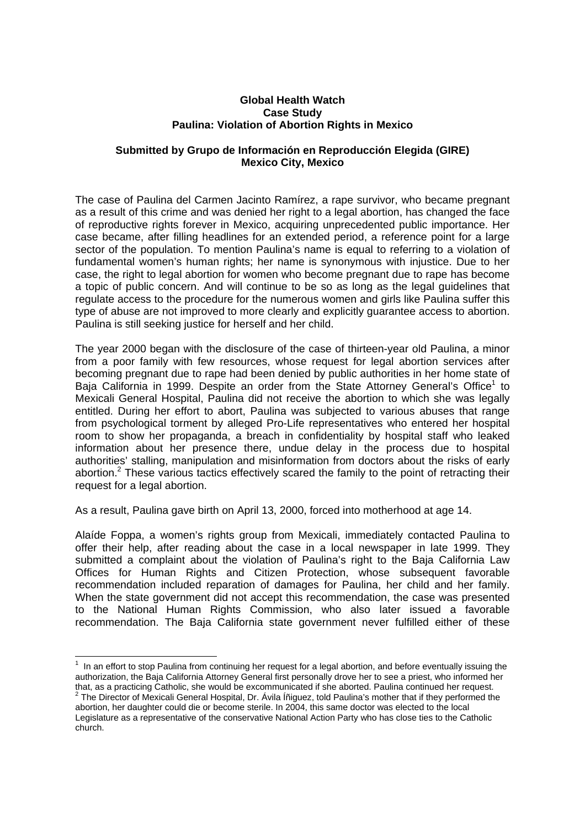## **Global Health Watch Case Study Paulina: Violation of Abortion Rights in Mexico**

## **Submitted by Grupo de Información en Reproducción Elegida (GIRE) Mexico City, Mexico**

The case of Paulina del Carmen Jacinto Ramírez, a rape survivor, who became pregnant as a result of this crime and was denied her right to a legal abortion, has changed the face of reproductive rights forever in Mexico, acquiring unprecedented public importance. Her case became, after filling headlines for an extended period, a reference point for a large sector of the population. To mention Paulina's name is equal to referring to a violation of fundamental women's human rights; her name is synonymous with injustice. Due to her case, the right to legal abortion for women who become pregnant due to rape has become a topic of public concern. And will continue to be so as long as the legal guidelines that regulate access to the procedure for the numerous women and girls like Paulina suffer this type of abuse are not improved to more clearly and explicitly guarantee access to abortion. Paulina is still seeking justice for herself and her child.

The year 2000 began with the disclosure of the case of thirteen-year old Paulina, a minor from a poor family with few resources, whose request for legal abortion services after becoming pregnant due to rape had been denied by public authorities in her home state of Baja California in 1999. Despite an order from the State Attorney General's Office<sup>1</sup> to Mexicali General Hospital, Paulina did not receive the abortion to which she was legally entitled. During her effort to abort, Paulina was subjected to various abuses that range from psychological torment by alleged Pro-Life representatives who entered her hospital room to show her propaganda, a breach in confidentiality by hospital staff who leaked information about her presence there, undue delay in the process due to hospital authorities' stalling, manipulation and misinformation from doctors about the risks of early abortion.<sup>2</sup> These various tactics effectively scared the family to the point of retracting their request for a legal abortion.

As a result, Paulina gave birth on April 13, 2000, forced into motherhood at age 14.

Alaíde Foppa, a women's rights group from Mexicali, immediately contacted Paulina to offer their help, after reading about the case in a local newspaper in late 1999. They submitted a complaint about the violation of Paulina's right to the Baja California Law Offices for Human Rights and Citizen Protection, whose subsequent favorable recommendation included reparation of damages for Paulina, her child and her family. When the state government did not accept this recommendation, the case was presented to the National Human Rights Commission, who also later issued a favorable recommendation. The Baja California state government never fulfilled either of these

 1 In an effort to stop Paulina from continuing her request for a legal abortion, and before eventually issuing the authorization, the Baja California Attorney General first personally drove her to see a priest, who informed her that, as a practicing Catholic, she would be excommunicated if she aborted. Paulina continued her request. <sup>2</sup>

 $2$  The Director of Mexicali General Hospital, Dr. Ávila Íñiguez, told Paulina's mother that if they performed the abortion, her daughter could die or become sterile. In 2004, this same doctor was elected to the local Legislature as a representative of the conservative National Action Party who has close ties to the Catholic church.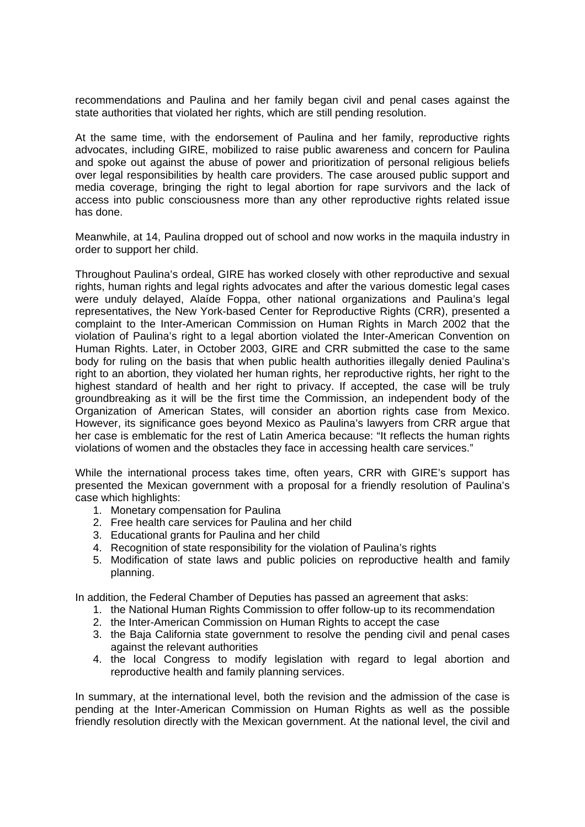recommendations and Paulina and her family began civil and penal cases against the state authorities that violated her rights, which are still pending resolution.

At the same time, with the endorsement of Paulina and her family, reproductive rights advocates, including GIRE, mobilized to raise public awareness and concern for Paulina and spoke out against the abuse of power and prioritization of personal religious beliefs over legal responsibilities by health care providers. The case aroused public support and media coverage, bringing the right to legal abortion for rape survivors and the lack of access into public consciousness more than any other reproductive rights related issue has done.

Meanwhile, at 14, Paulina dropped out of school and now works in the maquila industry in order to support her child.

Throughout Paulina's ordeal, GIRE has worked closely with other reproductive and sexual rights, human rights and legal rights advocates and after the various domestic legal cases were unduly delayed, Alaíde Foppa, other national organizations and Paulina's legal representatives, the New York-based Center for Reproductive Rights (CRR), presented a complaint to the Inter-American Commission on Human Rights in March 2002 that the violation of Paulina's right to a legal abortion violated the Inter-American Convention on Human Rights. Later, in October 2003, GIRE and CRR submitted the case to the same body for ruling on the basis that when public health authorities illegally denied Paulina's right to an abortion, they violated her human rights, her reproductive rights, her right to the highest standard of health and her right to privacy. If accepted, the case will be truly groundbreaking as it will be the first time the Commission, an independent body of the Organization of American States, will consider an abortion rights case from Mexico. However, its significance goes beyond Mexico as Paulina's lawyers from CRR argue that her case is emblematic for the rest of Latin America because: "It reflects the human rights violations of women and the obstacles they face in accessing health care services."

While the international process takes time, often years, CRR with GIRE's support has presented the Mexican government with a proposal for a friendly resolution of Paulina's case which highlights:

- 1. Monetary compensation for Paulina
- 2. Free health care services for Paulina and her child
- 3. Educational grants for Paulina and her child
- 4. Recognition of state responsibility for the violation of Paulina's rights
- 5. Modification of state laws and public policies on reproductive health and family planning.

In addition, the Federal Chamber of Deputies has passed an agreement that asks:

- 1. the National Human Rights Commission to offer follow-up to its recommendation
- 2. the Inter-American Commission on Human Rights to accept the case
- 3. the Baja California state government to resolve the pending civil and penal cases against the relevant authorities
- 4. the local Congress to modify legislation with regard to legal abortion and reproductive health and family planning services.

In summary, at the international level, both the revision and the admission of the case is pending at the Inter-American Commission on Human Rights as well as the possible friendly resolution directly with the Mexican government. At the national level, the civil and